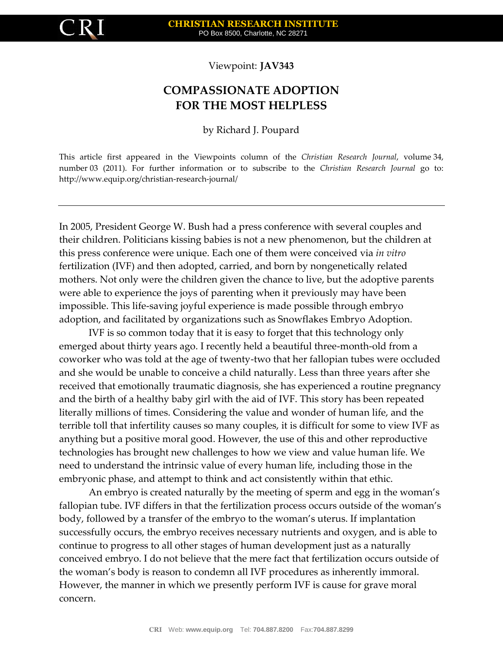

Viewpoint: **JAV343**

## **COMPASSIONATE ADOPTION FOR THE MOST HELPLESS**

by Richard J. Poupard

This article first appeared in the Viewpoints column of the *Christian Research Journal*, volume 34, number 03 (2011). For further information or to subscribe to the *Christian Research Journal* go to: http://www.equip.org/christian-research-journal/

In 2005, President George W. Bush had a press conference with several couples and their children. Politicians kissing babies is not a new phenomenon, but the children at this press conference were unique. Each one of them were conceived via *in vitro* fertilization (IVF) and then adopted, carried, and born by nongenetically related mothers. Not only were the children given the chance to live, but the adoptive parents were able to experience the joys of parenting when it previously may have been impossible. This life-saving joyful experience is made possible through embryo adoption, and facilitated by organizations such as Snowflakes Embryo Adoption.

IVF is so common today that it is easy to forget that this technology only emerged about thirty years ago. I recently held a beautiful three-month-old from a coworker who was told at the age of twenty-two that her fallopian tubes were occluded and she would be unable to conceive a child naturally. Less than three years after she received that emotionally traumatic diagnosis, she has experienced a routine pregnancy and the birth of a healthy baby girl with the aid of IVF. This story has been repeated literally millions of times. Considering the value and wonder of human life, and the terrible toll that infertility causes so many couples, it is difficult for some to view IVF as anything but a positive moral good. However, the use of this and other reproductive technologies has brought new challenges to how we view and value human life. We need to understand the intrinsic value of every human life, including those in the embryonic phase, and attempt to think and act consistently within that ethic.

An embryo is created naturally by the meeting of sperm and egg in the woman's fallopian tube. IVF differs in that the fertilization process occurs outside of the woman's body, followed by a transfer of the embryo to the woman's uterus. If implantation successfully occurs, the embryo receives necessary nutrients and oxygen, and is able to continue to progress to all other stages of human development just as a naturally conceived embryo. I do not believe that the mere fact that fertilization occurs outside of the woman's body is reason to condemn all IVF procedures as inherently immoral. However, the manner in which we presently perform IVF is cause for grave moral concern.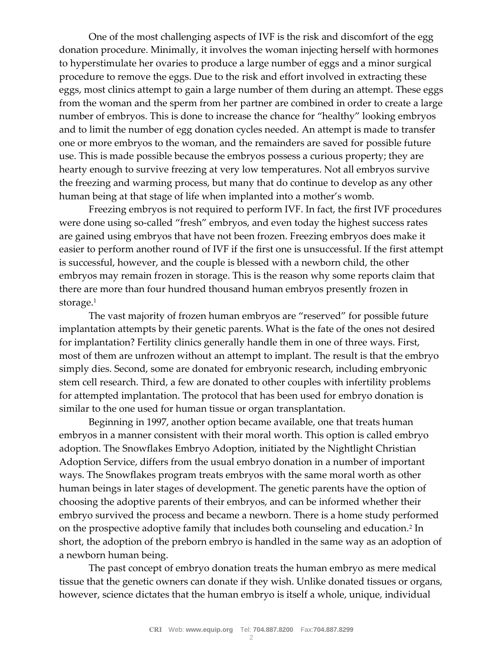One of the most challenging aspects of IVF is the risk and discomfort of the egg donation procedure. Minimally, it involves the woman injecting herself with hormones to hyperstimulate her ovaries to produce a large number of eggs and a minor surgical procedure to remove the eggs. Due to the risk and effort involved in extracting these eggs, most clinics attempt to gain a large number of them during an attempt. These eggs from the woman and the sperm from her partner are combined in order to create a large number of embryos. This is done to increase the chance for "healthy" looking embryos and to limit the number of egg donation cycles needed. An attempt is made to transfer one or more embryos to the woman, and the remainders are saved for possible future use. This is made possible because the embryos possess a curious property; they are hearty enough to survive freezing at very low temperatures. Not all embryos survive the freezing and warming process, but many that do continue to develop as any other human being at that stage of life when implanted into a mother's womb.

Freezing embryos is not required to perform IVF. In fact, the first IVF procedures were done using so-called "fresh" embryos, and even today the highest success rates are gained using embryos that have not been frozen. Freezing embryos does make it easier to perform another round of IVF if the first one is unsuccessful. If the first attempt is successful, however, and the couple is blessed with a newborn child, the other embryos may remain frozen in storage. This is the reason why some reports claim that there are more than four hundred thousand human embryos presently frozen in storage.<sup>1</sup>

The vast majority of frozen human embryos are "reserved" for possible future implantation attempts by their genetic parents. What is the fate of the ones not desired for implantation? Fertility clinics generally handle them in one of three ways. First, most of them are unfrozen without an attempt to implant. The result is that the embryo simply dies. Second, some are donated for embryonic research, including embryonic stem cell research. Third, a few are donated to other couples with infertility problems for attempted implantation. The protocol that has been used for embryo donation is similar to the one used for human tissue or organ transplantation.

Beginning in 1997, another option became available, one that treats human embryos in a manner consistent with their moral worth. This option is called embryo adoption. The Snowflakes Embryo Adoption, initiated by the Nightlight Christian Adoption Service, differs from the usual embryo donation in a number of important ways. The Snowflakes program treats embryos with the same moral worth as other human beings in later stages of development. The genetic parents have the option of choosing the adoptive parents of their embryos, and can be informed whether their embryo survived the process and became a newborn. There is a home study performed on the prospective adoptive family that includes both counseling and education.<sup>2</sup> In short, the adoption of the preborn embryo is handled in the same way as an adoption of a newborn human being.

The past concept of embryo donation treats the human embryo as mere medical tissue that the genetic owners can donate if they wish. Unlike donated tissues or organs, however, science dictates that the human embryo is itself a whole, unique, individual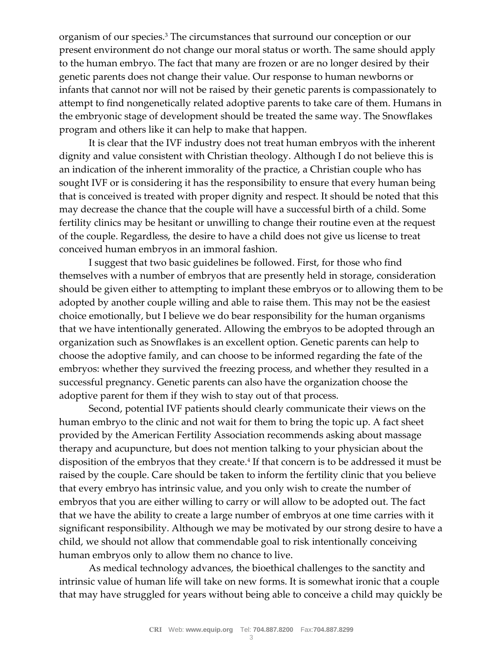organism of our species.<sup>3</sup> The circumstances that surround our conception or our present environment do not change our moral status or worth. The same should apply to the human embryo. The fact that many are frozen or are no longer desired by their genetic parents does not change their value. Our response to human newborns or infants that cannot nor will not be raised by their genetic parents is compassionately to attempt to find nongenetically related adoptive parents to take care of them. Humans in the embryonic stage of development should be treated the same way. The Snowflakes program and others like it can help to make that happen.

It is clear that the IVF industry does not treat human embryos with the inherent dignity and value consistent with Christian theology. Although I do not believe this is an indication of the inherent immorality of the practice, a Christian couple who has sought IVF or is considering it has the responsibility to ensure that every human being that is conceived is treated with proper dignity and respect. It should be noted that this may decrease the chance that the couple will have a successful birth of a child. Some fertility clinics may be hesitant or unwilling to change their routine even at the request of the couple. Regardless, the desire to have a child does not give us license to treat conceived human embryos in an immoral fashion.

I suggest that two basic guidelines be followed. First, for those who find themselves with a number of embryos that are presently held in storage, consideration should be given either to attempting to implant these embryos or to allowing them to be adopted by another couple willing and able to raise them. This may not be the easiest choice emotionally, but I believe we do bear responsibility for the human organisms that we have intentionally generated. Allowing the embryos to be adopted through an organization such as Snowflakes is an excellent option. Genetic parents can help to choose the adoptive family, and can choose to be informed regarding the fate of the embryos: whether they survived the freezing process, and whether they resulted in a successful pregnancy. Genetic parents can also have the organization choose the adoptive parent for them if they wish to stay out of that process.

Second, potential IVF patients should clearly communicate their views on the human embryo to the clinic and not wait for them to bring the topic up. A fact sheet provided by the American Fertility Association recommends asking about massage therapy and acupuncture, but does not mention talking to your physician about the disposition of the embryos that they create.<sup>4</sup> If that concern is to be addressed it must be raised by the couple. Care should be taken to inform the fertility clinic that you believe that every embryo has intrinsic value, and you only wish to create the number of embryos that you are either willing to carry or will allow to be adopted out. The fact that we have the ability to create a large number of embryos at one time carries with it significant responsibility. Although we may be motivated by our strong desire to have a child, we should not allow that commendable goal to risk intentionally conceiving human embryos only to allow them no chance to live.

As medical technology advances, the bioethical challenges to the sanctity and intrinsic value of human life will take on new forms. It is somewhat ironic that a couple that may have struggled for years without being able to conceive a child may quickly be